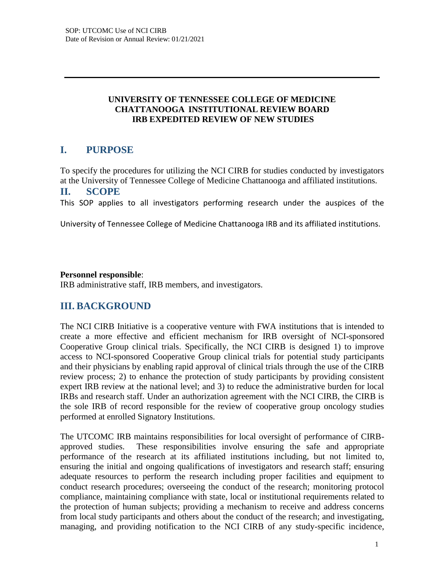#### **UNIVERSITY OF TENNESSEE COLLEGE OF MEDICINE CHATTANOOGA INSTITUTIONAL REVIEW BOARD IRB EXPEDITED REVIEW OF NEW STUDIES**

## **I. PURPOSE**

To specify the procedures for utilizing the NCI CIRB for studies conducted by investigators at the University of Tennessee College of Medicine Chattanooga and affiliated institutions. **II. SCOPE**

This SOP applies to all investigators performing research under the auspices of the

University of Tennessee College of Medicine Chattanooga IRB and its affiliated institutions.

### **Personnel responsible**:

IRB administrative staff, IRB members, and investigators.

# **III. BACKGROUND**

The NCI CIRB Initiative is a cooperative venture with FWA institutions that is intended to create a more effective and efficient mechanism for IRB oversight of NCI-sponsored Cooperative Group clinical trials. Specifically, the NCI CIRB is designed 1) to improve access to NCI-sponsored Cooperative Group clinical trials for potential study participants and their physicians by enabling rapid approval of clinical trials through the use of the CIRB review process; 2) to enhance the protection of study participants by providing consistent expert IRB review at the national level; and 3) to reduce the administrative burden for local IRBs and research staff. Under an authorization agreement with the NCI CIRB, the CIRB is the sole IRB of record responsible for the review of cooperative group oncology studies performed at enrolled Signatory Institutions.

The UTCOMC IRB maintains responsibilities for local oversight of performance of CIRBapproved studies. These responsibilities involve ensuring the safe and appropriate performance of the research at its affiliated institutions including, but not limited to, ensuring the initial and ongoing qualifications of investigators and research staff; ensuring adequate resources to perform the research including proper facilities and equipment to conduct research procedures; overseeing the conduct of the research; monitoring protocol compliance, maintaining compliance with state, local or institutional requirements related to the protection of human subjects; providing a mechanism to receive and address concerns from local study participants and others about the conduct of the research; and investigating, managing, and providing notification to the NCI CIRB of any study-specific incidence,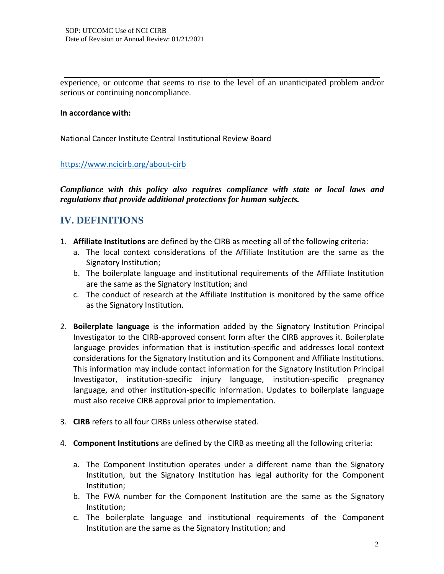experience, or outcome that seems to rise to the level of an unanticipated problem and/or serious or continuing noncompliance.

#### **In accordance with:**

National Cancer Institute Central Institutional Review Board

<https://www.ncicirb.org/about-cirb>

*Compliance with this policy also requires compliance with state or local laws and regulations that provide additional protections for human subjects.*

## **IV. DEFINITIONS**

- 1. **Affiliate Institutions** are defined by the CIRB as meeting all of the following criteria:
	- a. The local context considerations of the Affiliate Institution are the same as the Signatory Institution;
	- b. The boilerplate language and institutional requirements of the Affiliate Institution are the same as the Signatory Institution; and
	- c. The conduct of research at the Affiliate Institution is monitored by the same office as the Signatory Institution.
- 2. **Boilerplate language** is the information added by the Signatory Institution Principal Investigator to the CIRB-approved consent form after the CIRB approves it. Boilerplate language provides information that is institution-specific and addresses local context considerations for the Signatory Institution and its Component and Affiliate Institutions. This information may include contact information for the Signatory Institution Principal Investigator, institution-specific injury language, institution-specific pregnancy language, and other institution-specific information. Updates to boilerplate language must also receive CIRB approval prior to implementation.
- 3. **CIRB** refers to all four CIRBs unless otherwise stated.
- 4. **Component Institutions** are defined by the CIRB as meeting all the following criteria:
	- a. The Component Institution operates under a different name than the Signatory Institution, but the Signatory Institution has legal authority for the Component Institution;
	- b. The FWA number for the Component Institution are the same as the Signatory Institution;
	- c. The boilerplate language and institutional requirements of the Component Institution are the same as the Signatory Institution; and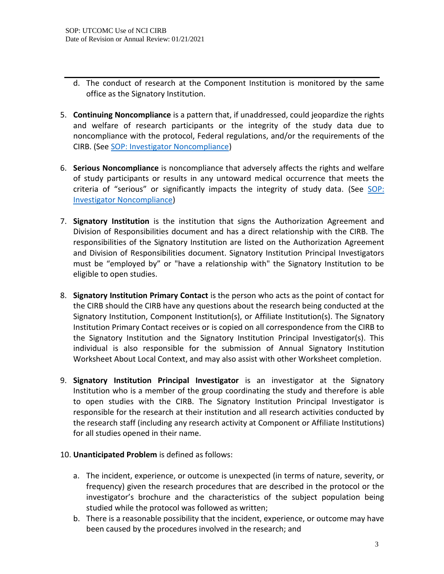- d. The conduct of research at the Component Institution is monitored by the same office as the Signatory Institution.
- 5. **Continuing Noncompliance** is a pattern that, if unaddressed, could jeopardize the rights and welfare of research participants or the integrity of the study data due to noncompliance with the protocol, Federal regulations, and/or the requirements of the CIRB. (See [SOP: Investigator Noncompliance\)](https://www.uthsc.edu/research/compliance/irb/researchers/standard-operating-procedures.php)
- 6. **Serious Noncompliance** is noncompliance that adversely affects the rights and welfare of study participants or results in any untoward medical occurrence that meets the criteria of "serious" or significantly impacts the integrity of study data. (See SOP: [Investigator Noncompliance\)](https://www.uthsc.edu/research/compliance/irb/researchers/standard-operating-procedures.php)
- 7. **Signatory Institution** is the institution that signs the Authorization Agreement and Division of Responsibilities document and has a direct relationship with the CIRB. The responsibilities of the Signatory Institution are listed on the Authorization Agreement and Division of Responsibilities document. Signatory Institution Principal Investigators must be "employed by" or "have a relationship with" the Signatory Institution to be eligible to open studies.
- 8. **Signatory Institution Primary Contact** is the person who acts as the point of contact for the CIRB should the CIRB have any questions about the research being conducted at the Signatory Institution, Component Institution(s), or Affiliate Institution(s). The Signatory Institution Primary Contact receives or is copied on all correspondence from the CIRB to the Signatory Institution and the Signatory Institution Principal Investigator(s). This individual is also responsible for the submission of Annual Signatory Institution Worksheet About Local Context, and may also assist with other Worksheet completion.
- 9. **Signatory Institution Principal Investigator** is an investigator at the Signatory Institution who is a member of the group coordinating the study and therefore is able to open studies with the CIRB. The Signatory Institution Principal Investigator is responsible for the research at their institution and all research activities conducted by the research staff (including any research activity at Component or Affiliate Institutions) for all studies opened in their name.
- 10. **Unanticipated Problem** is defined as follows:
	- a. The incident, experience, or outcome is unexpected (in terms of nature, severity, or frequency) given the research procedures that are described in the protocol or the investigator's brochure and the characteristics of the subject population being studied while the protocol was followed as written;
	- b. There is a reasonable possibility that the incident, experience, or outcome may have been caused by the procedures involved in the research; and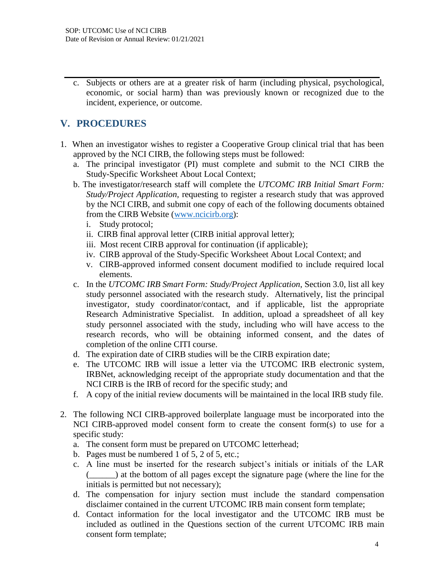c. Subjects or others are at a greater risk of harm (including physical, psychological, economic, or social harm) than was previously known or recognized due to the incident, experience, or outcome.

# **V. PROCEDURES**

- 1. When an investigator wishes to register a Cooperative Group clinical trial that has been approved by the NCI CIRB, the following steps must be followed:
	- a. The principal investigator (PI) must complete and submit to the NCI CIRB the Study-Specific Worksheet About Local Context;
	- b. The investigator/research staff will complete the *UTCOMC IRB Initial Smart Form: Study/Project Application,* requesting to register a research study that was approved by the NCI CIRB, and submit one copy of each of the following documents obtained from the CIRB Website [\(www.ncicirb.org\)](http://www.ncicirb.org/):
		- i. Study protocol;
		- ii. CIRB final approval letter (CIRB initial approval letter);
		- iii. Most recent CIRB approval for continuation (if applicable);
		- iv. CIRB approval of the Study-Specific Worksheet About Local Context; and
		- v. CIRB-approved informed consent document modified to include required local elements.
	- c. In the *UTCOMC IRB Smart Form: Study/Project Application*, Section 3.0, list all key study personnel associated with the research study. Alternatively, list the principal investigator, study coordinator/contact, and if applicable, list the appropriate Research Administrative Specialist. In addition, upload a spreadsheet of all key study personnel associated with the study, including who will have access to the research records, who will be obtaining informed consent, and the dates of completion of the online CITI course.
	- d. The expiration date of CIRB studies will be the CIRB expiration date;
	- e. The UTCOMC IRB will issue a letter via the UTCOMC IRB electronic system, IRBNet, acknowledging receipt of the appropriate study documentation and that the NCI CIRB is the IRB of record for the specific study; and
	- f. A copy of the initial review documents will be maintained in the local IRB study file.
- 2. The following NCI CIRB-approved boilerplate language must be incorporated into the NCI CIRB-approved model consent form to create the consent form(s) to use for a specific study:
	- a. The consent form must be prepared on UTCOMC letterhead;
	- b. Pages must be numbered 1 of 5, 2 of 5, etc.;
	- c. A line must be inserted for the research subject's initials or initials of the LAR (\_\_\_\_\_\_) at the bottom of all pages except the signature page (where the line for the initials is permitted but not necessary);
	- d. The compensation for injury section must include the standard compensation disclaimer contained in the current UTCOMC IRB main consent form template;
	- d. Contact information for the local investigator and the UTCOMC IRB must be included as outlined in the Questions section of the current UTCOMC IRB main consent form template;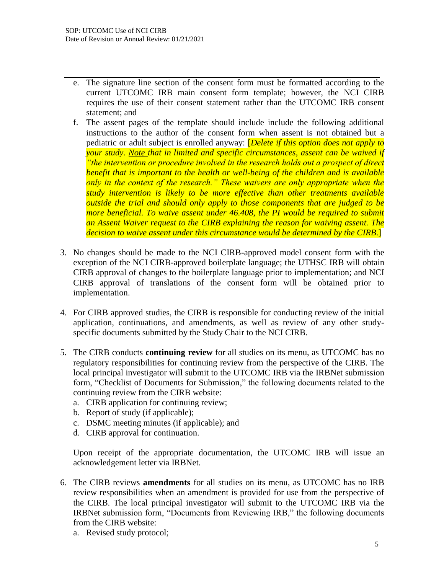- e. The signature line section of the consent form must be formatted according to the current UTCOMC IRB main consent form template; however, the NCI CIRB requires the use of their consent statement rather than the UTCOMC IRB consent statement; and
- f. The assent pages of the template should include include the following additional instructions to the author of the consent form when assent is not obtained but a pediatric or adult subject is enrolled anyway: [*Delete if this option does not apply to your study. Note that in limited and specific circumstances, assent can be waived if "the intervention or procedure involved in the research holds out a prospect of direct benefit that is important to the health or well-being of the children and is available only in the context of the research." These waivers are only appropriate when the study intervention is likely to be more effective than other treatments available outside the trial and should only apply to those components that are judged to be more beneficial. To waive assent under 46.408, the PI would be required to submit an Assent Waiver request to the CIRB explaining the reason for waiving assent. The decision to waive assent under this circumstance would be determined by the CIRB*.]
- 3. No changes should be made to the NCI CIRB-approved model consent form with the exception of the NCI CIRB-approved boilerplate language; the UTHSC IRB will obtain CIRB approval of changes to the boilerplate language prior to implementation; and NCI CIRB approval of translations of the consent form will be obtained prior to implementation.
- 4. For CIRB approved studies, the CIRB is responsible for conducting review of the initial application, continuations, and amendments, as well as review of any other studyspecific documents submitted by the Study Chair to the NCI CIRB.
- 5. The CIRB conducts **continuing review** for all studies on its menu, as UTCOMC has no regulatory responsibilities for continuing review from the perspective of the CIRB. The local principal investigator will submit to the UTCOMC IRB via the IRBNet submission form, "Checklist of Documents for Submission," the following documents related to the continuing review from the CIRB website:
	- a. CIRB application for continuing review;
	- b. Report of study (if applicable);
	- c. DSMC meeting minutes (if applicable); and
	- d. CIRB approval for continuation.

Upon receipt of the appropriate documentation, the UTCOMC IRB will issue an acknowledgement letter via IRBNet.

- 6. The CIRB reviews **amendments** for all studies on its menu, as UTCOMC has no IRB review responsibilities when an amendment is provided for use from the perspective of the CIRB. The local principal investigator will submit to the UTCOMC IRB via the IRBNet submission form, "Documents from Reviewing IRB," the following documents from the CIRB website:
	- a. Revised study protocol;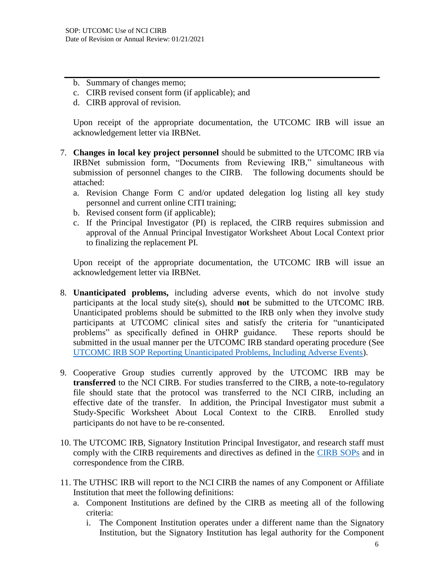- b. Summary of changes memo;
- c. CIRB revised consent form (if applicable); and
- d. CIRB approval of revision.

Upon receipt of the appropriate documentation, the UTCOMC IRB will issue an acknowledgement letter via IRBNet.

- 7. **Changes in local key project personnel** should be submitted to the UTCOMC IRB via IRBNet submission form, "Documents from Reviewing IRB," simultaneous with submission of personnel changes to the CIRB. The following documents should be attached:
	- a. Revision Change Form C and/or updated delegation log listing all key study personnel and current online CITI training;
	- b. Revised consent form (if applicable);
	- c. If the Principal Investigator (PI) is replaced, the CIRB requires submission and approval of the Annual Principal Investigator Worksheet About Local Context prior to finalizing the replacement PI.

Upon receipt of the appropriate documentation, the UTCOMC IRB will issue an acknowledgement letter via IRBNet.

- 8. **Unanticipated problems,** including adverse events, which do not involve study participants at the local study site(s), should **not** be submitted to the UTCOMC IRB. Unanticipated problems should be submitted to the IRB only when they involve study participants at UTCOMC clinical sites and satisfy the criteria for "unanticipated problems" as specifically defined in OHRP guidance. These reports should be submitted in the usual manner per the UTCOMC IRB standard operating procedure (See UTCOMC [IRB SOP Reporting Unanticipated Problems, Including Adverse Events\)](https://www.uthsc.edu/research/compliance/irb/researchers/standard-operating-procedures.php).
- 9. Cooperative Group studies currently approved by the UTCOMC IRB may be **transferred** to the NCI CIRB. For studies transferred to the CIRB, a note-to-regulatory file should state that the protocol was transferred to the NCI CIRB, including an effective date of the transfer. In addition, the Principal Investigator must submit a Study-Specific Worksheet About Local Context to the CIRB. Enrolled study participants do not have to be re-consented.
- 10. The UTCOMC IRB, Signatory Institution Principal Investigator, and research staff must comply with the CIRB requirements and directives as defined in the [CIRB SOPs](https://ncicirb.org/about-cirb/sops) and in correspondence from the CIRB.
- 11. The UTHSC IRB will report to the NCI CIRB the names of any Component or Affiliate Institution that meet the following definitions:
	- a. Component Institutions are defined by the CIRB as meeting all of the following criteria:
		- i. The Component Institution operates under a different name than the Signatory Institution, but the Signatory Institution has legal authority for the Component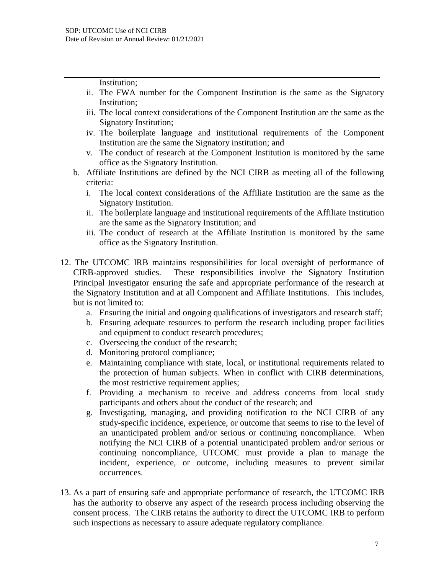Institution;

- ii. The FWA number for the Component Institution is the same as the Signatory Institution;
- iii. The local context considerations of the Component Institution are the same as the Signatory Institution;
- iv. The boilerplate language and institutional requirements of the Component Institution are the same the Signatory institution; and
- v. The conduct of research at the Component Institution is monitored by the same office as the Signatory Institution.
- b. Affiliate Institutions are defined by the NCI CIRB as meeting all of the following criteria:
	- i. The local context considerations of the Affiliate Institution are the same as the Signatory Institution.
	- ii. The boilerplate language and institutional requirements of the Affiliate Institution are the same as the Signatory Institution; and
	- iii. The conduct of research at the Affiliate Institution is monitored by the same office as the Signatory Institution.
- 12. The UTCOMC IRB maintains responsibilities for local oversight of performance of CIRB-approved studies. These responsibilities involve the Signatory Institution Principal Investigator ensuring the safe and appropriate performance of the research at the Signatory Institution and at all Component and Affiliate Institutions. This includes, but is not limited to:
	- a. Ensuring the initial and ongoing qualifications of investigators and research staff;
	- b. Ensuring adequate resources to perform the research including proper facilities and equipment to conduct research procedures;
	- c. Overseeing the conduct of the research;
	- d. Monitoring protocol compliance;
	- e. Maintaining compliance with state, local, or institutional requirements related to the protection of human subjects. When in conflict with CIRB determinations, the most restrictive requirement applies;
	- f. Providing a mechanism to receive and address concerns from local study participants and others about the conduct of the research; and
	- g. Investigating, managing, and providing notification to the NCI CIRB of any study-specific incidence, experience, or outcome that seems to rise to the level of an unanticipated problem and/or serious or continuing noncompliance. When notifying the NCI CIRB of a potential unanticipated problem and/or serious or continuing noncompliance, UTCOMC must provide a plan to manage the incident, experience, or outcome, including measures to prevent similar occurrences.
- 13. As a part of ensuring safe and appropriate performance of research, the UTCOMC IRB has the authority to observe any aspect of the research process including observing the consent process. The CIRB retains the authority to direct the UTCOMC IRB to perform such inspections as necessary to assure adequate regulatory compliance.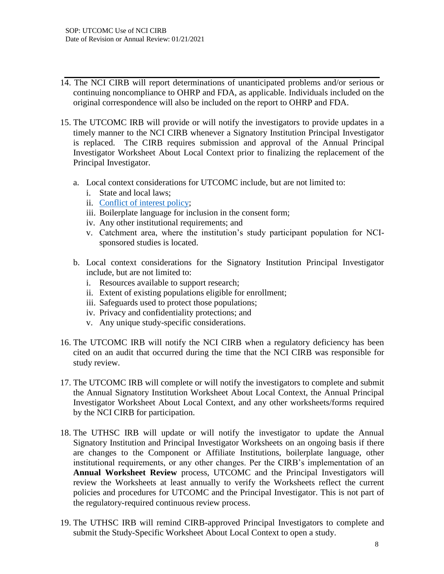- 14. The NCI CIRB will report determinations of unanticipated problems and/or serious or continuing noncompliance to OHRP and FDA, as applicable. Individuals included on the original correspondence will also be included on the report to OHRP and FDA.
- 15. The UTCOMC IRB will provide or will notify the investigators to provide updates in a timely manner to the NCI CIRB whenever a Signatory Institution Principal Investigator is replaced. The CIRB requires submission and approval of the Annual Principal Investigator Worksheet About Local Context prior to finalizing the replacement of the Principal Investigator.
	- a. Local context considerations for UTCOMC include, but are not limited to:
		- i. State and local laws;
		- ii. [Conflict of interest policy;](https://www.uthsc.edu/research/compliance/irb/researchers/standard-operating-procedures.php)
		- iii. Boilerplate language for inclusion in the consent form;
		- iv. Any other institutional requirements; and
		- v. Catchment area, where the institution's study participant population for NCIsponsored studies is located.
	- b. Local context considerations for the Signatory Institution Principal Investigator include, but are not limited to:
		- i. Resources available to support research;
		- ii. Extent of existing populations eligible for enrollment;
		- iii. Safeguards used to protect those populations;
		- iv. Privacy and confidentiality protections; and
		- v. Any unique study-specific considerations.
- 16. The UTCOMC IRB will notify the NCI CIRB when a regulatory deficiency has been cited on an audit that occurred during the time that the NCI CIRB was responsible for study review.
- 17. The UTCOMC IRB will complete or will notify the investigators to complete and submit the Annual Signatory Institution Worksheet About Local Context, the Annual Principal Investigator Worksheet About Local Context, and any other worksheets/forms required by the NCI CIRB for participation.
- 18. The UTHSC IRB will update or will notify the investigator to update the Annual Signatory Institution and Principal Investigator Worksheets on an ongoing basis if there are changes to the Component or Affiliate Institutions, boilerplate language, other institutional requirements, or any other changes. Per the CIRB's implementation of an **Annual Worksheet Review** process, UTCOMC and the Principal Investigators will review the Worksheets at least annually to verify the Worksheets reflect the current policies and procedures for UTCOMC and the Principal Investigator. This is not part of the regulatory-required continuous review process.
- 19. The UTHSC IRB will remind CIRB-approved Principal Investigators to complete and submit the Study-Specific Worksheet About Local Context to open a study.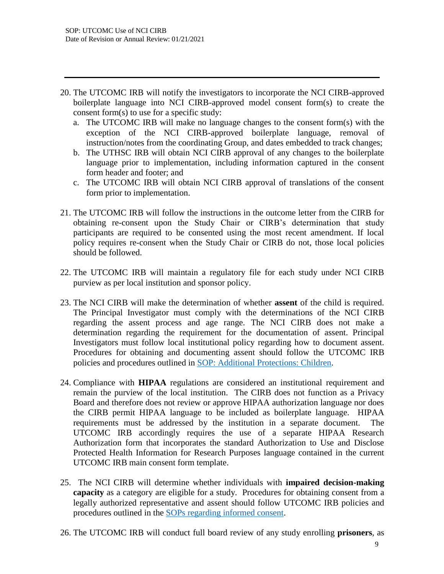- 20. The UTCOMC IRB will notify the investigators to incorporate the NCI CIRB-approved boilerplate language into NCI CIRB-approved model consent form(s) to create the consent form(s) to use for a specific study:
	- a. The UTCOMC IRB will make no language changes to the consent form(s) with the exception of the NCI CIRB-approved boilerplate language, removal of instruction/notes from the coordinating Group, and dates embedded to track changes;
	- b. The UTHSC IRB will obtain NCI CIRB approval of any changes to the boilerplate language prior to implementation, including information captured in the consent form header and footer; and
	- c. The UTCOMC IRB will obtain NCI CIRB approval of translations of the consent form prior to implementation.
- 21. The UTCOMC IRB will follow the instructions in the outcome letter from the CIRB for obtaining re-consent upon the Study Chair or CIRB's determination that study participants are required to be consented using the most recent amendment. If local policy requires re-consent when the Study Chair or CIRB do not, those local policies should be followed.
- 22. The UTCOMC IRB will maintain a regulatory file for each study under NCI CIRB purview as per local institution and sponsor policy.
- 23. The NCI CIRB will make the determination of whether **assent** of the child is required. The Principal Investigator must comply with the determinations of the NCI CIRB regarding the assent process and age range. The NCI CIRB does not make a determination regarding the requirement for the documentation of assent. Principal Investigators must follow local institutional policy regarding how to document assent. Procedures for obtaining and documenting assent should follow the UTCOMC IRB policies and procedures outlined in [SOP: Additional Protections: Children.](https://www.uthsc.edu/research/compliance/irb/researchers/standard-operating-procedures.php)
- 24. Compliance with **HIPAA** regulations are considered an institutional requirement and remain the purview of the local institution. The CIRB does not function as a Privacy Board and therefore does not review or approve HIPAA authorization language nor does the CIRB permit HIPAA language to be included as boilerplate language. HIPAA requirements must be addressed by the institution in a separate document. The UTCOMC IRB accordingly requires the use of a separate HIPAA Research Authorization form that incorporates the standard Authorization to Use and Disclose Protected Health Information for Research Purposes language contained in the current UTCOMC IRB main consent form template.
- 25. The NCI CIRB will determine whether individuals with **impaired decision-making capacity** as a category are eligible for a study. Procedures for obtaining consent from a legally authorized representative and assent should follow UTCOMC IRB policies and procedures outlined in the [SOPs regarding informed consent.](https://www.uthsc.edu/research/compliance/irb/researchers/standard-operating-procedures.php)
- 26. The UTCOMC IRB will conduct full board review of any study enrolling **prisoners**, as